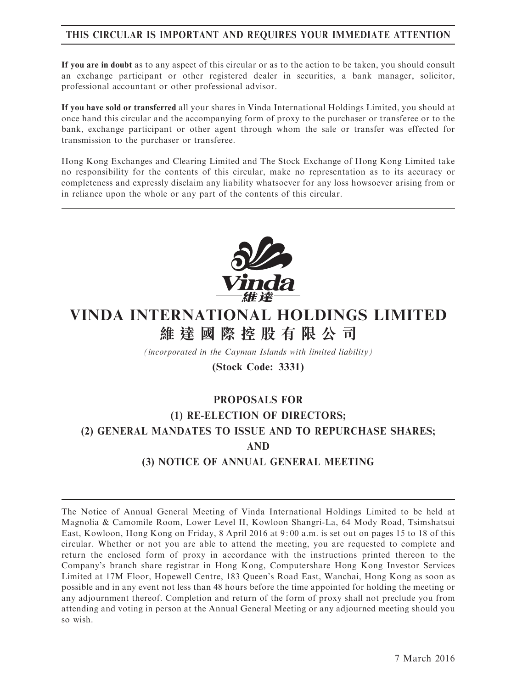# THIS CIRCULAR IS IMPORTANT AND REQUIRES YOUR IMMEDIATE ATTENTION

If you are in doubt as to any aspect of this circular or as to the action to be taken, you should consult an exchange participant or other registered dealer in securities, a bank manager, solicitor, professional accountant or other professional advisor.

If you have sold or transferred all your shares in Vinda International Holdings Limited, you should at once hand this circular and the accompanying form of proxy to the purchaser or transferee or to the bank, exchange participant or other agent through whom the sale or transfer was effected for transmission to the purchaser or transferee.

Hong Kong Exchanges and Clearing Limited and The Stock Exchange of Hong Kong Limited take no responsibility for the contents of this circular, make no representation as to its accuracy or completeness and expressly disclaim any liability whatsoever for any loss howsoever arising from or in reliance upon the whole or any part of the contents of this circular.



# VINDA INTERNATIONAL HOLDINGS LIMITED 維 達 國 際 控 股 有 限 公 司

(incorporated in the Cayman Islands with limited liability)

# (Stock Code: 3331)

# PROPOSALS FOR (1) RE-ELECTION OF DIRECTORS; (2) GENERAL MANDATES TO ISSUE AND TO REPURCHASE SHARES; AND (3) NOTICE OF ANNUAL GENERAL MEETING

The Notice of Annual General Meeting of Vinda International Holdings Limited to be held at Magnolia & Camomile Room, Lower Level II, Kowloon Shangri-La, 64 Mody Road, Tsimshatsui East, Kowloon, Hong Kong on Friday, 8 April 2016 at 9: 00 a.m. is set out on pages 15 to 18 of this circular. Whether or not you are able to attend the meeting, you are requested to complete and return the enclosed form of proxy in accordance with the instructions printed thereon to the Company's branch share registrar in Hong Kong, Computershare Hong Kong Investor Services Limited at 17M Floor, Hopewell Centre, 183 Queen's Road East, Wanchai, Hong Kong as soon as possible and in any event not less than 48 hours before the time appointed for holding the meeting or any adjournment thereof. Completion and return of the form of proxy shall not preclude you from attending and voting in person at the Annual General Meeting or any adjourned meeting should you so wish.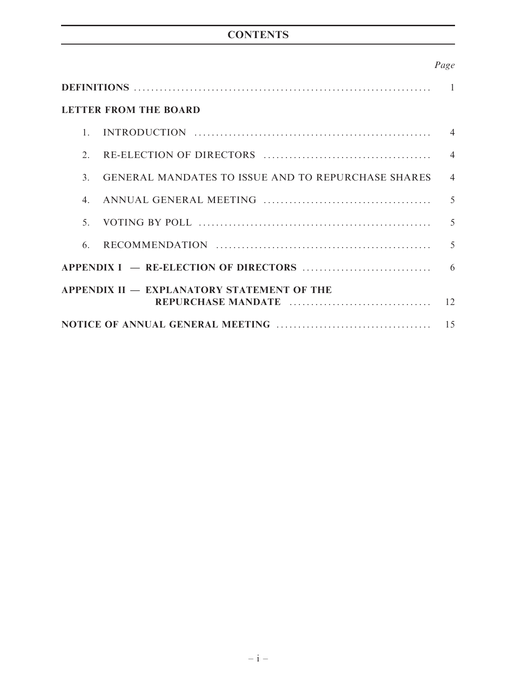# **CONTENTS**

# Page

| <b>LETTER FROM THE BOARD</b>               |                                                           |                |  |  |
|--------------------------------------------|-----------------------------------------------------------|----------------|--|--|
| $1_{-}$                                    |                                                           | $\overline{4}$ |  |  |
| 2.                                         |                                                           | $\overline{4}$ |  |  |
| $\mathcal{E}$                              | <b>GENERAL MANDATES TO ISSUE AND TO REPURCHASE SHARES</b> | $\overline{4}$ |  |  |
| $4_{\cdot}$                                |                                                           | 5              |  |  |
| $5^{\circ}$                                |                                                           | $\overline{5}$ |  |  |
| 6                                          |                                                           | $\overline{5}$ |  |  |
|                                            |                                                           |                |  |  |
| APPENDIX II - EXPLANATORY STATEMENT OF THE |                                                           |                |  |  |
| 15                                         |                                                           |                |  |  |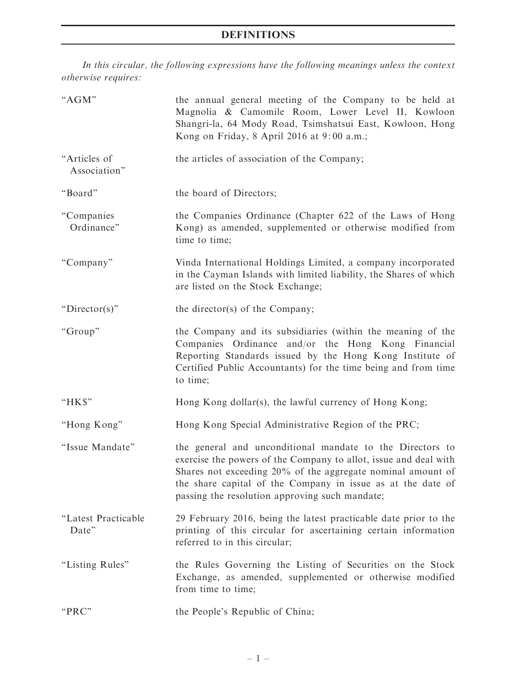# DEFINITIONS

In this circular, the following expressions have the following meanings unless the context otherwise requires:

| "AGM"                        | the annual general meeting of the Company to be held at<br>Magnolia & Camomile Room, Lower Level II, Kowloon<br>Shangri-la, 64 Mody Road, Tsimshatsui East, Kowloon, Hong<br>Kong on Friday, 8 April 2016 at 9:00 a.m.;                                                                                       |
|------------------------------|---------------------------------------------------------------------------------------------------------------------------------------------------------------------------------------------------------------------------------------------------------------------------------------------------------------|
| "Articles of<br>Association" | the articles of association of the Company;                                                                                                                                                                                                                                                                   |
| "Board"                      | the board of Directors;                                                                                                                                                                                                                                                                                       |
| "Companies<br>Ordinance"     | the Companies Ordinance (Chapter 622 of the Laws of Hong<br>Kong) as amended, supplemented or otherwise modified from<br>time to time;                                                                                                                                                                        |
| "Company"                    | Vinda International Holdings Limited, a company incorporated<br>in the Cayman Islands with limited liability, the Shares of which<br>are listed on the Stock Exchange;                                                                                                                                        |
| " $Director(s)$ "            | the director(s) of the Company;                                                                                                                                                                                                                                                                               |
| "Group"                      | the Company and its subsidiaries (within the meaning of the<br>Companies Ordinance and/or the Hong Kong Financial<br>Reporting Standards issued by the Hong Kong Institute of<br>Certified Public Accountants) for the time being and from time<br>to time;                                                   |
| "HK\$"                       | Hong Kong dollar(s), the lawful currency of Hong Kong;                                                                                                                                                                                                                                                        |
| "Hong Kong"                  | Hong Kong Special Administrative Region of the PRC;                                                                                                                                                                                                                                                           |
| "Issue Mandate"              | the general and unconditional mandate to the Directors to<br>exercise the powers of the Company to allot, issue and deal with<br>Shares not exceeding 20% of the aggregate nominal amount of<br>the share capital of the Company in issue as at the date of<br>passing the resolution approving such mandate; |
| "Latest Practicable<br>Date" | 29 February 2016, being the latest practicable date prior to the<br>printing of this circular for ascertaining certain information<br>referred to in this circular;                                                                                                                                           |
| "Listing Rules"              | the Rules Governing the Listing of Securities on the Stock<br>Exchange, as amended, supplemented or otherwise modified<br>from time to time;                                                                                                                                                                  |
| "PRC"                        | the People's Republic of China;                                                                                                                                                                                                                                                                               |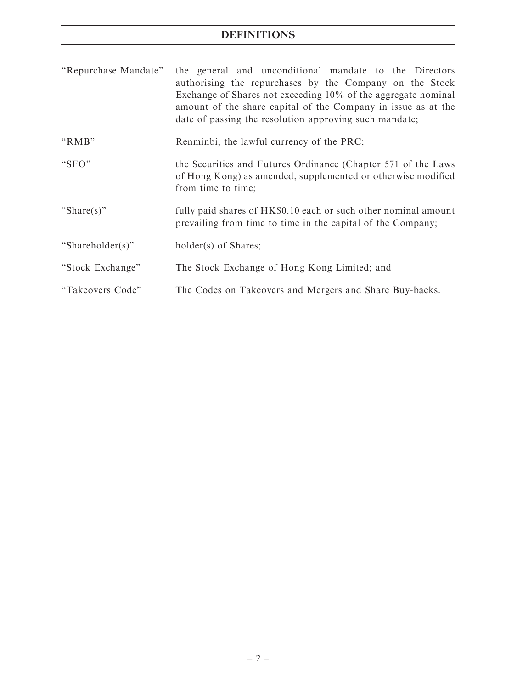# DEFINITIONS

| "Repurchase Mandate" | the general and unconditional mandate to the Directors<br>authorising the repurchases by the Company on the Stock<br>Exchange of Shares not exceeding 10% of the aggregate nominal<br>amount of the share capital of the Company in issue as at the<br>date of passing the resolution approving such mandate; |
|----------------------|---------------------------------------------------------------------------------------------------------------------------------------------------------------------------------------------------------------------------------------------------------------------------------------------------------------|
| "RMB"                | Renminbi, the lawful currency of the PRC;                                                                                                                                                                                                                                                                     |
| " $SFO"$             | the Securities and Futures Ordinance (Chapter 571 of the Laws<br>of Hong Kong) as amended, supplemented or otherwise modified<br>from time to time;                                                                                                                                                           |
| "Share(s)"           | fully paid shares of HK\$0.10 each or such other nominal amount<br>prevailing from time to time in the capital of the Company;                                                                                                                                                                                |
| "Shareholder(s)"     | holder(s) of Shares;                                                                                                                                                                                                                                                                                          |
| "Stock Exchange"     | The Stock Exchange of Hong Kong Limited; and                                                                                                                                                                                                                                                                  |
| "Takeovers Code"     | The Codes on Takeovers and Mergers and Share Buy-backs.                                                                                                                                                                                                                                                       |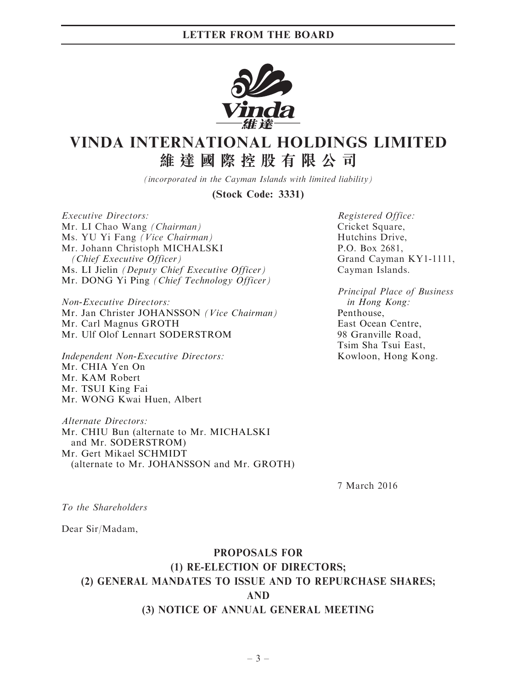

# VINDA INTERNATIONAL HOLDINGS LIMITED 維 達 國 際 控 股 有 限 公 司

(incorporated in the Cayman Islands with limited liability)

(Stock Code: 3331)

Executive Directors: Mr. LI Chao Wang (Chairman) Ms. YU Yi Fang (Vice Chairman) Mr. Johann Christoph MICHALSKI (Chief Executive Officer) Ms. LI Jielin (Deputy Chief Executive Officer) Mr. DONG Yi Ping (Chief Technology Officer)

Non-Executive Directors: Mr. Jan Christer JOHANSSON (Vice Chairman) Mr. Carl Magnus GROTH Mr. Ulf Olof Lennart SODERSTROM

Independent Non-Executive Directors: Mr. CHIA Yen On Mr. KAM Robert Mr. TSUI King Fai Mr. WONG Kwai Huen, Albert

Alternate Directors: Mr. CHIU Bun (alternate to Mr. MICHALSKI and Mr. SODERSTROM) Mr. Gert Mikael SCHMIDT (alternate to Mr. JOHANSSON and Mr. GROTH)

Registered Office: Cricket Square, Hutchins Drive, P.O. Box 2681, Grand Cayman KY1-1111, Cayman Islands.

Principal Place of Business in Hong Kong: Penthouse, East Ocean Centre, 98 Granville Road, Tsim Sha Tsui East, Kowloon, Hong Kong.

7 March 2016

To the Shareholders

Dear Sir/Madam,

# PROPOSALS FOR (1) RE-ELECTION OF DIRECTORS; (2) GENERAL MANDATES TO ISSUE AND TO REPURCHASE SHARES; AND (3) NOTICE OF ANNUAL GENERAL MEETING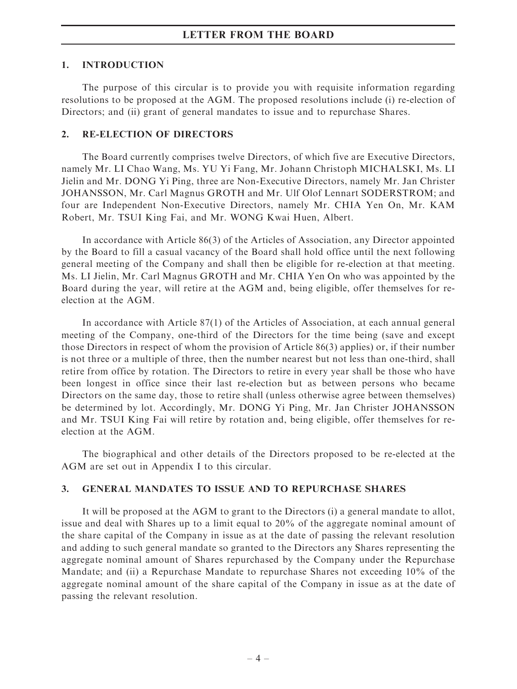# LETTER FROM THE BOARD

### 1. INTRODUCTION

The purpose of this circular is to provide you with requisite information regarding resolutions to be proposed at the AGM. The proposed resolutions include (i) re-election of Directors; and (ii) grant of general mandates to issue and to repurchase Shares.

### 2. RE-ELECTION OF DIRECTORS

The Board currently comprises twelve Directors, of which five are Executive Directors, namely Mr. LI Chao Wang, Ms. YU Yi Fang, Mr. Johann Christoph MICHALSKI, Ms. LI Jielin and Mr. DONG Yi Ping, three are Non-Executive Directors, namely Mr. Jan Christer JOHANSSON, Mr. Carl Magnus GROTH and Mr. Ulf Olof Lennart SODERSTROM; and four are Independent Non-Executive Directors, namely Mr. CHIA Yen On, Mr. KAM Robert, Mr. TSUI King Fai, and Mr. WONG Kwai Huen, Albert.

In accordance with Article 86(3) of the Articles of Association, any Director appointed by the Board to fill a casual vacancy of the Board shall hold office until the next following general meeting of the Company and shall then be eligible for re-election at that meeting. Ms. LI Jielin, Mr. Carl Magnus GROTH and Mr. CHIA Yen On who was appointed by the Board during the year, will retire at the AGM and, being eligible, offer themselves for reelection at the AGM.

In accordance with Article 87(1) of the Articles of Association, at each annual general meeting of the Company, one-third of the Directors for the time being (save and except those Directors in respect of whom the provision of Article 86(3) applies) or, if their number is not three or a multiple of three, then the number nearest but not less than one-third, shall retire from office by rotation. The Directors to retire in every year shall be those who have been longest in office since their last re-election but as between persons who became Directors on the same day, those to retire shall (unless otherwise agree between themselves) be determined by lot. Accordingly, Mr. DONG Yi Ping, Mr. Jan Christer JOHANSSON and Mr. TSUI King Fai will retire by rotation and, being eligible, offer themselves for reelection at the AGM.

The biographical and other details of the Directors proposed to be re-elected at the AGM are set out in Appendix I to this circular.

## 3. GENERAL MANDATES TO ISSUE AND TO REPURCHASE SHARES

It will be proposed at the AGM to grant to the Directors (i) a general mandate to allot, issue and deal with Shares up to a limit equal to 20% of the aggregate nominal amount of the share capital of the Company in issue as at the date of passing the relevant resolution and adding to such general mandate so granted to the Directors any Shares representing the aggregate nominal amount of Shares repurchased by the Company under the Repurchase Mandate; and (ii) a Repurchase Mandate to repurchase Shares not exceeding 10% of the aggregate nominal amount of the share capital of the Company in issue as at the date of passing the relevant resolution.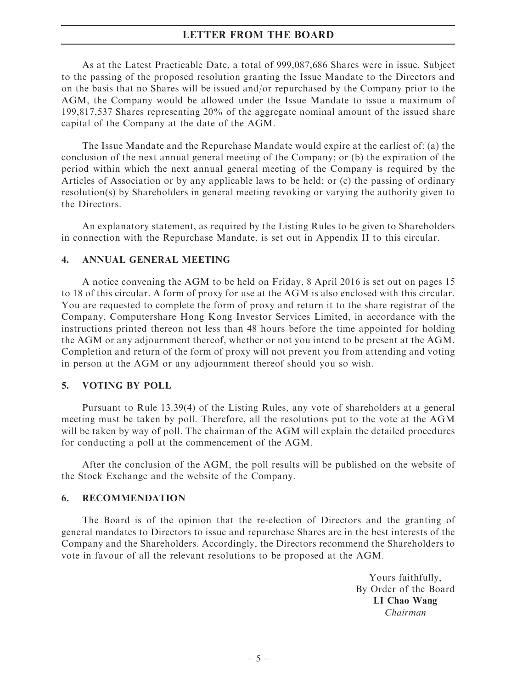## LETTER FROM THE BOARD

As at the Latest Practicable Date, a total of 999,087,686 Shares were in issue. Subject to the passing of the proposed resolution granting the Issue Mandate to the Directors and on the basis that no Shares will be issued and/or repurchased by the Company prior to the AGM, the Company would be allowed under the Issue Mandate to issue a maximum of 199,817,537 Shares representing 20% of the aggregate nominal amount of the issued share capital of the Company at the date of the AGM.

The Issue Mandate and the Repurchase Mandate would expire at the earliest of: (a) the conclusion of the next annual general meeting of the Company; or (b) the expiration of the period within which the next annual general meeting of the Company is required by the Articles of Association or by any applicable laws to be held; or (c) the passing of ordinary resolution(s) by Shareholders in general meeting revoking or varying the authority given to the Directors.

An explanatory statement, as required by the Listing Rules to be given to Shareholders in connection with the Repurchase Mandate, is set out in Appendix II to this circular.

### 4. ANNUAL GENERAL MEETING

A notice convening the AGM to be held on Friday, 8 April 2016 is set out on pages 15 to 18 of this circular. A form of proxy for use at the AGM is also enclosed with this circular. You are requested to complete the form of proxy and return it to the share registrar of the Company, Computershare Hong Kong Investor Services Limited, in accordance with the instructions printed thereon not less than 48 hours before the time appointed for holding the AGM or any adjournment thereof, whether or not you intend to be present at the AGM. Completion and return of the form of proxy will not prevent you from attending and voting in person at the AGM or any adjournment thereof should you so wish.

### 5. VOTING BY POLL

Pursuant to Rule 13.39(4) of the Listing Rules, any vote of shareholders at a general meeting must be taken by poll. Therefore, all the resolutions put to the vote at the AGM will be taken by way of poll. The chairman of the AGM will explain the detailed procedures for conducting a poll at the commencement of the AGM.

After the conclusion of the AGM, the poll results will be published on the website of the Stock Exchange and the website of the Company.

### 6. RECOMMENDATION

The Board is of the opinion that the re-election of Directors and the granting of general mandates to Directors to issue and repurchase Shares are in the best interests of the Company and the Shareholders. Accordingly, the Directors recommend the Shareholders to vote in favour of all the relevant resolutions to be proposed at the AGM.

> Yours faithfully, By Order of the Board LI Chao Wang Chairman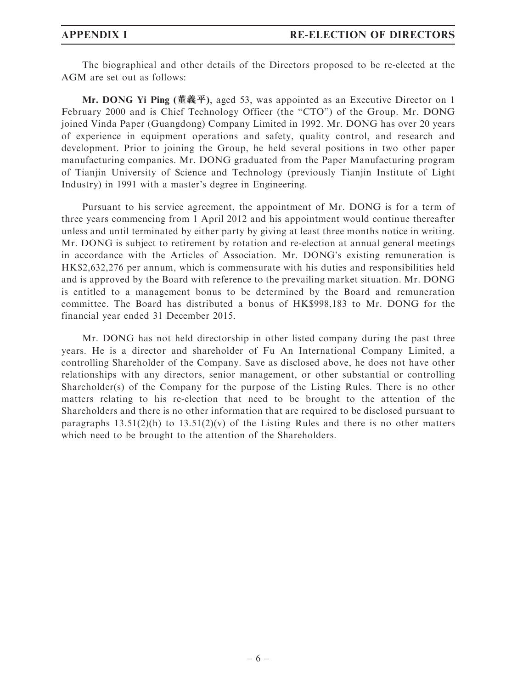The biographical and other details of the Directors proposed to be re-elected at the AGM are set out as follows:

Mr. DONG Yi Ping (董義平), aged 53, was appointed as an Executive Director on 1 February 2000 and is Chief Technology Officer (the "CTO") of the Group. Mr. DONG joined Vinda Paper (Guangdong) Company Limited in 1992. Mr. DONG has over 20 years of experience in equipment operations and safety, quality control, and research and development. Prior to joining the Group, he held several positions in two other paper manufacturing companies. Mr. DONG graduated from the Paper Manufacturing program of Tianjin University of Science and Technology (previously Tianjin Institute of Light Industry) in 1991 with a master's degree in Engineering.

Pursuant to his service agreement, the appointment of Mr. DONG is for a term of three years commencing from 1 April 2012 and his appointment would continue thereafter unless and until terminated by either party by giving at least three months notice in writing. Mr. DONG is subject to retirement by rotation and re-election at annual general meetings in accordance with the Articles of Association. Mr. DONG's existing remuneration is HK\$2,632,276 per annum, which is commensurate with his duties and responsibilities held and is approved by the Board with reference to the prevailing market situation. Mr. DONG is entitled to a management bonus to be determined by the Board and remuneration committee. The Board has distributed a bonus of HK\$998,183 to Mr. DONG for the financial year ended 31 December 2015.

Mr. DONG has not held directorship in other listed company during the past three years. He is a director and shareholder of Fu An International Company Limited, a controlling Shareholder of the Company. Save as disclosed above, he does not have other relationships with any directors, senior management, or other substantial or controlling Shareholder(s) of the Company for the purpose of the Listing Rules. There is no other matters relating to his re-election that need to be brought to the attention of the Shareholders and there is no other information that are required to be disclosed pursuant to paragraphs  $13.51(2)(h)$  to  $13.51(2)(v)$  of the Listing Rules and there is no other matters which need to be brought to the attention of the Shareholders.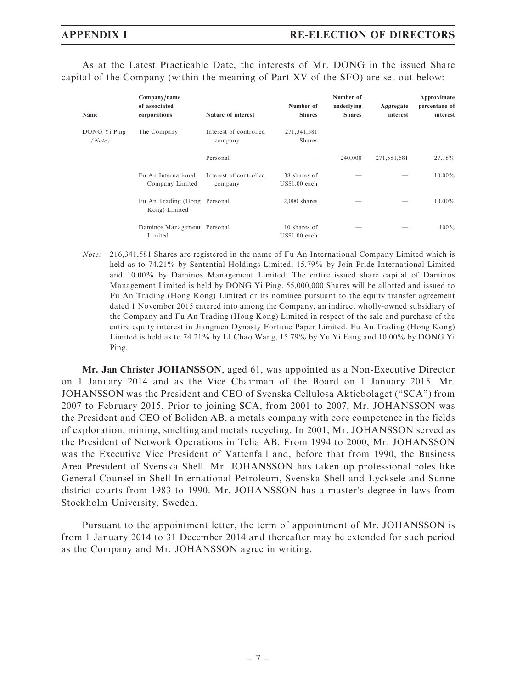As at the Latest Practicable Date, the interests of Mr. DONG in the issued Share capital of the Company (within the meaning of Part XV of the SFO) are set out below:

| Name                   | Company/name<br>of associated<br>corporations | Nature of interest                | Number of<br><b>Shares</b>     | Number of<br>underlying<br><b>Shares</b> | Aggregate<br>interest | Approximate<br>percentage of<br>interest |
|------------------------|-----------------------------------------------|-----------------------------------|--------------------------------|------------------------------------------|-----------------------|------------------------------------------|
| DONG Yi Ping<br>(Note) | The Company                                   | Interest of controlled<br>company | 271,341,581<br><b>Shares</b>   |                                          |                       |                                          |
|                        |                                               | Personal                          |                                | 240,000                                  | 271,581,581           | 27.18%                                   |
|                        | Fu An International<br>Company Limited        | Interest of controlled<br>company | 38 shares of<br>$USS1.00$ each |                                          |                       | $10.00\%$                                |
|                        | Fu An Trading (Hong Personal<br>Kong) Limited |                                   | $2,000$ shares                 |                                          |                       | $10.00\%$                                |
|                        | Daminos Management Personal<br>Limited        |                                   | 10 shares of<br>$USS1.00$ each |                                          |                       | $100\%$                                  |

Note: 216,341,581 Shares are registered in the name of Fu An International Company Limited which is held as to 74.21% by Sentential Holdings Limited, 15.79% by Join Pride International Limited and 10.00% by Daminos Management Limited. The entire issued share capital of Daminos Management Limited is held by DONG Yi Ping. 55,000,000 Shares will be allotted and issued to Fu An Trading (Hong Kong) Limited or its nominee pursuant to the equity transfer agreement dated 1 November 2015 entered into among the Company, an indirect wholly-owned subsidiary of the Company and Fu An Trading (Hong Kong) Limited in respect of the sale and purchase of the entire equity interest in Jiangmen Dynasty Fortune Paper Limited. Fu An Trading (Hong Kong) Limited is held as to 74.21% by LI Chao Wang, 15.79% by Yu Yi Fang and 10.00% by DONG Yi Ping.

Mr. Jan Christer JOHANSSON, aged 61, was appointed as a Non-Executive Director on 1 January 2014 and as the Vice Chairman of the Board on 1 January 2015. Mr. JOHANSSON was the President and CEO of Svenska Cellulosa Aktiebolaget (''SCA'') from 2007 to February 2015. Prior to joining SCA, from 2001 to 2007, Mr. JOHANSSON was the President and CEO of Boliden AB, a metals company with core competence in the fields of exploration, mining, smelting and metals recycling. In 2001, Mr. JOHANSSON served as the President of Network Operations in Telia AB. From 1994 to 2000, Mr. JOHANSSON was the Executive Vice President of Vattenfall and, before that from 1990, the Business Area President of Svenska Shell. Mr. JOHANSSON has taken up professional roles like General Counsel in Shell International Petroleum, Svenska Shell and Lycksele and Sunne district courts from 1983 to 1990. Mr. JOHANSSON has a master's degree in laws from Stockholm University, Sweden.

Pursuant to the appointment letter, the term of appointment of Mr. JOHANSSON is from 1 January 2014 to 31 December 2014 and thereafter may be extended for such period as the Company and Mr. JOHANSSON agree in writing.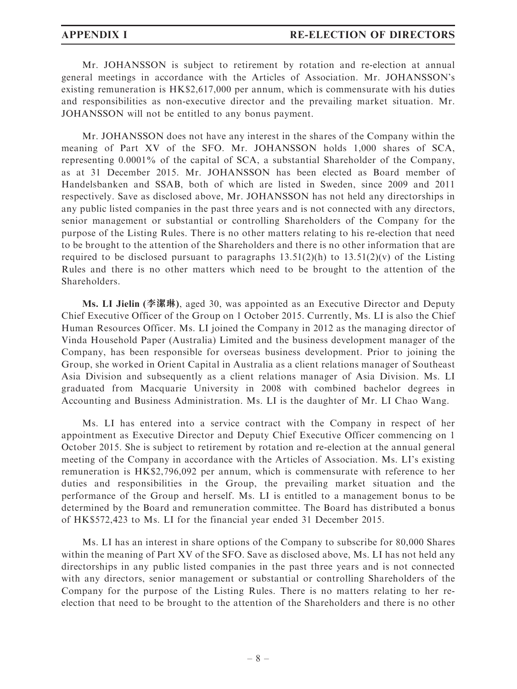Mr. JOHANSSON is subject to retirement by rotation and re-election at annual general meetings in accordance with the Articles of Association. Mr. JOHANSSON's existing remuneration is HK\$2,617,000 per annum, which is commensurate with his duties and responsibilities as non-executive director and the prevailing market situation. Mr. JOHANSSON will not be entitled to any bonus payment.

Mr. JOHANSSON does not have any interest in the shares of the Company within the meaning of Part XV of the SFO. Mr. JOHANSSON holds 1,000 shares of SCA, representing 0.0001% of the capital of SCA, a substantial Shareholder of the Company, as at 31 December 2015. Mr. JOHANSSON has been elected as Board member of Handelsbanken and SSAB, both of which are listed in Sweden, since 2009 and 2011 respectively. Save as disclosed above, Mr. JOHANSSON has not held any directorships in any public listed companies in the past three years and is not connected with any directors, senior management or substantial or controlling Shareholders of the Company for the purpose of the Listing Rules. There is no other matters relating to his re-election that need to be brought to the attention of the Shareholders and there is no other information that are required to be disclosed pursuant to paragraphs  $13.51(2)(h)$  to  $13.51(2)(v)$  of the Listing Rules and there is no other matters which need to be brought to the attention of the Shareholders.

Ms. LI Jielin (李潔琳), aged 30, was appointed as an Executive Director and Deputy Chief Executive Officer of the Group on 1 October 2015. Currently, Ms. LI is also the Chief Human Resources Officer. Ms. LI joined the Company in 2012 as the managing director of Vinda Household Paper (Australia) Limited and the business development manager of the Company, has been responsible for overseas business development. Prior to joining the Group, she worked in Orient Capital in Australia as a client relations manager of Southeast Asia Division and subsequently as a client relations manager of Asia Division. Ms. LI graduated from Macquarie University in 2008 with combined bachelor degrees in Accounting and Business Administration. Ms. LI is the daughter of Mr. LI Chao Wang.

Ms. LI has entered into a service contract with the Company in respect of her appointment as Executive Director and Deputy Chief Executive Officer commencing on 1 October 2015. She is subject to retirement by rotation and re-election at the annual general meeting of the Company in accordance with the Articles of Association. Ms. LI's existing remuneration is HK\$2,796,092 per annum, which is commensurate with reference to her duties and responsibilities in the Group, the prevailing market situation and the performance of the Group and herself. Ms. LI is entitled to a management bonus to be determined by the Board and remuneration committee. The Board has distributed a bonus of HK\$572,423 to Ms. LI for the financial year ended 31 December 2015.

Ms. LI has an interest in share options of the Company to subscribe for 80,000 Shares within the meaning of Part XV of the SFO. Save as disclosed above, Ms. LI has not held any directorships in any public listed companies in the past three years and is not connected with any directors, senior management or substantial or controlling Shareholders of the Company for the purpose of the Listing Rules. There is no matters relating to her reelection that need to be brought to the attention of the Shareholders and there is no other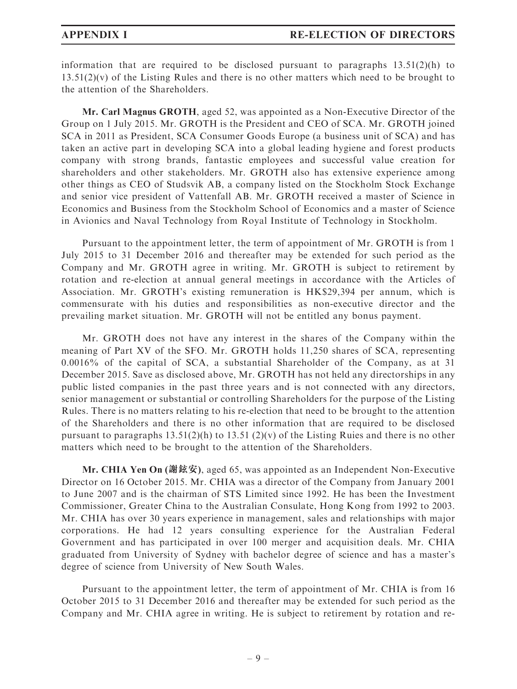information that are required to be disclosed pursuant to paragraphs  $13.51(2)(h)$  to  $13.51(2)(v)$  of the Listing Rules and there is no other matters which need to be brought to the attention of the Shareholders.

Mr. Carl Magnus GROTH, aged 52, was appointed as a Non-Executive Director of the Group on 1 July 2015. Mr. GROTH is the President and CEO of SCA. Mr. GROTH joined SCA in 2011 as President, SCA Consumer Goods Europe (a business unit of SCA) and has taken an active part in developing SCA into a global leading hygiene and forest products company with strong brands, fantastic employees and successful value creation for shareholders and other stakeholders. Mr. GROTH also has extensive experience among other things as CEO of Studsvik AB, a company listed on the Stockholm Stock Exchange and senior vice president of Vattenfall AB. Mr. GROTH received a master of Science in Economics and Business from the Stockholm School of Economics and a master of Science in Avionics and Naval Technology from Royal Institute of Technology in Stockholm.

Pursuant to the appointment letter, the term of appointment of Mr. GROTH is from 1 July 2015 to 31 December 2016 and thereafter may be extended for such period as the Company and Mr. GROTH agree in writing. Mr. GROTH is subject to retirement by rotation and re-election at annual general meetings in accordance with the Articles of Association. Mr. GROTH's existing remuneration is HK\$29,394 per annum, which is commensurate with his duties and responsibilities as non-executive director and the prevailing market situation. Mr. GROTH will not be entitled any bonus payment.

Mr. GROTH does not have any interest in the shares of the Company within the meaning of Part XV of the SFO. Mr. GROTH holds 11,250 shares of SCA, representing 0.0016% of the capital of SCA, a substantial Shareholder of the Company, as at 31 December 2015. Save as disclosed above, Mr. GROTH has not held any directorships in any public listed companies in the past three years and is not connected with any directors, senior management or substantial or controlling Shareholders for the purpose of the Listing Rules. There is no matters relating to his re-election that need to be brought to the attention of the Shareholders and there is no other information that are required to be disclosed pursuant to paragraphs  $13.51(2)(h)$  to  $13.51(2)(v)$  of the Listing Ruies and there is no other matters which need to be brought to the attention of the Shareholders.

Mr. CHIA Yen On (謝鉉安), aged 65, was appointed as an Independent Non-Executive Director on 16 October 2015. Mr. CHIA was a director of the Company from January 2001 to June 2007 and is the chairman of STS Limited since 1992. He has been the Investment Commissioner, Greater China to the Australian Consulate, Hong Kong from 1992 to 2003. Mr. CHIA has over 30 years experience in management, sales and relationships with major corporations. He had 12 years consulting experience for the Australian Federal Government and has participated in over 100 merger and acquisition deals. Mr. CHIA graduated from University of Sydney with bachelor degree of science and has a master's degree of science from University of New South Wales.

Pursuant to the appointment letter, the term of appointment of Mr. CHIA is from 16 October 2015 to 31 December 2016 and thereafter may be extended for such period as the Company and Mr. CHIA agree in writing. He is subject to retirement by rotation and re-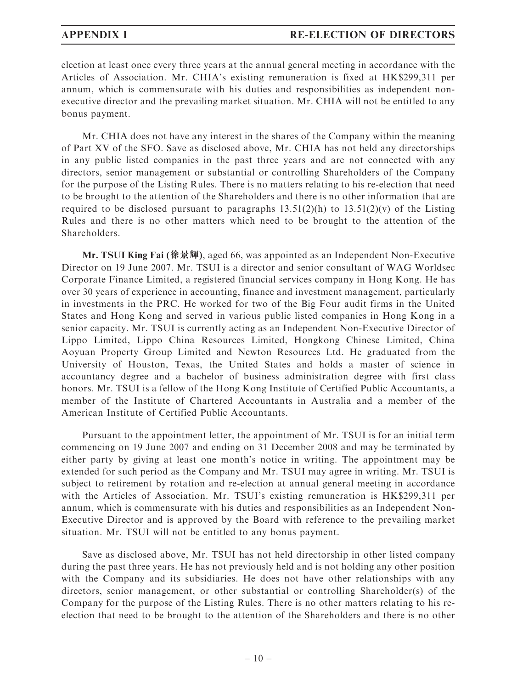election at least once every three years at the annual general meeting in accordance with the Articles of Association. Mr. CHIA's existing remuneration is fixed at HK\$299,311 per annum, which is commensurate with his duties and responsibilities as independent nonexecutive director and the prevailing market situation. Mr. CHIA will not be entitled to any bonus payment.

Mr. CHIA does not have any interest in the shares of the Company within the meaning of Part XV of the SFO. Save as disclosed above, Mr. CHIA has not held any directorships in any public listed companies in the past three years and are not connected with any directors, senior management or substantial or controlling Shareholders of the Company for the purpose of the Listing Rules. There is no matters relating to his re-election that need to be brought to the attention of the Shareholders and there is no other information that are required to be disclosed pursuant to paragraphs  $13.51(2)(h)$  to  $13.51(2)(v)$  of the Listing Rules and there is no other matters which need to be brought to the attention of the Shareholders.

Mr. TSUI King Fai (徐景輝), aged 66, was appointed as an Independent Non-Executive Director on 19 June 2007. Mr. TSUI is a director and senior consultant of WAG Worldsec Corporate Finance Limited, a registered financial services company in Hong Kong. He has over 30 years of experience in accounting, finance and investment management, particularly in investments in the PRC. He worked for two of the Big Four audit firms in the United States and Hong Kong and served in various public listed companies in Hong Kong in a senior capacity. Mr. TSUI is currently acting as an Independent Non-Executive Director of Lippo Limited, Lippo China Resources Limited, Hongkong Chinese Limited, China Aoyuan Property Group Limited and Newton Resources Ltd. He graduated from the University of Houston, Texas, the United States and holds a master of science in accountancy degree and a bachelor of business administration degree with first class honors. Mr. TSUI is a fellow of the Hong Kong Institute of Certified Public Accountants, a member of the Institute of Chartered Accountants in Australia and a member of the American Institute of Certified Public Accountants.

Pursuant to the appointment letter, the appointment of Mr. TSUI is for an initial term commencing on 19 June 2007 and ending on 31 December 2008 and may be terminated by either party by giving at least one month's notice in writing. The appointment may be extended for such period as the Company and Mr. TSUI may agree in writing. Mr. TSUI is subject to retirement by rotation and re-election at annual general meeting in accordance with the Articles of Association. Mr. TSUI's existing remuneration is HK\$299,311 per annum, which is commensurate with his duties and responsibilities as an Independent Non-Executive Director and is approved by the Board with reference to the prevailing market situation. Mr. TSUI will not be entitled to any bonus payment.

Save as disclosed above, Mr. TSUI has not held directorship in other listed company during the past three years. He has not previously held and is not holding any other position with the Company and its subsidiaries. He does not have other relationships with any directors, senior management, or other substantial or controlling Shareholder(s) of the Company for the purpose of the Listing Rules. There is no other matters relating to his reelection that need to be brought to the attention of the Shareholders and there is no other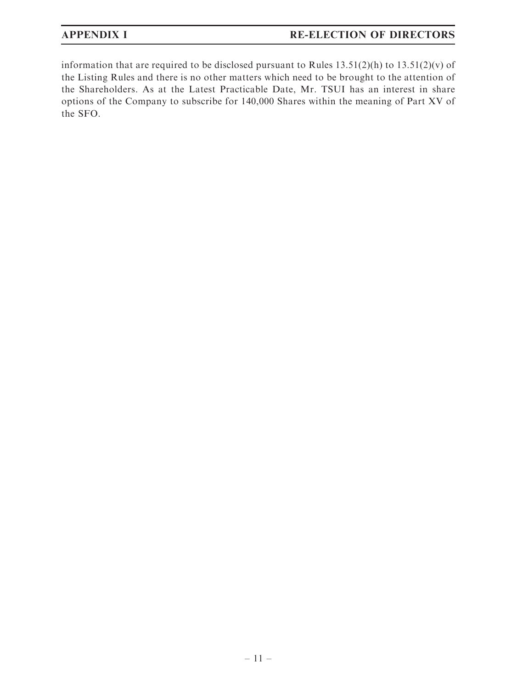# APPENDIX I RE-ELECTION OF DIRECTORS

information that are required to be disclosed pursuant to Rules  $13.51(2)(h)$  to  $13.51(2)(v)$  of the Listing Rules and there is no other matters which need to be brought to the attention of the Shareholders. As at the Latest Practicable Date, Mr. TSUI has an interest in share options of the Company to subscribe for 140,000 Shares within the meaning of Part XV of the SFO.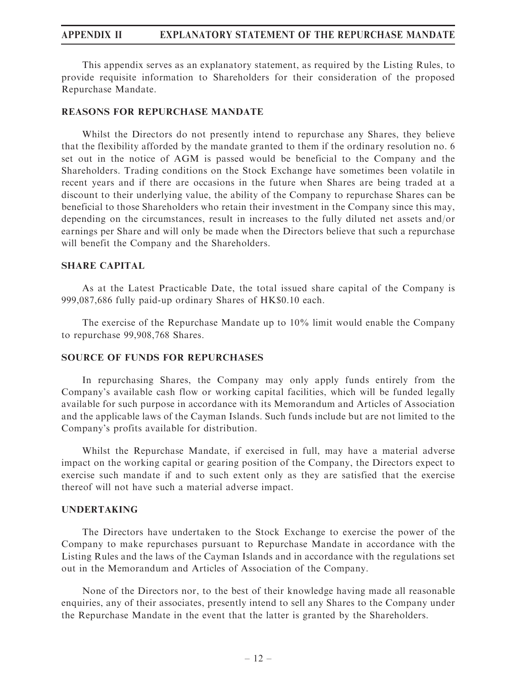### APPENDIX II EXPLANATORY STATEMENT OF THE REPURCHASE MANDATE

This appendix serves as an explanatory statement, as required by the Listing Rules, to provide requisite information to Shareholders for their consideration of the proposed Repurchase Mandate.

### REASONS FOR REPURCHASE MANDATE

Whilst the Directors do not presently intend to repurchase any Shares, they believe that the flexibility afforded by the mandate granted to them if the ordinary resolution no. 6 set out in the notice of AGM is passed would be beneficial to the Company and the Shareholders. Trading conditions on the Stock Exchange have sometimes been volatile in recent years and if there are occasions in the future when Shares are being traded at a discount to their underlying value, the ability of the Company to repurchase Shares can be beneficial to those Shareholders who retain their investment in the Company since this may, depending on the circumstances, result in increases to the fully diluted net assets and/or earnings per Share and will only be made when the Directors believe that such a repurchase will benefit the Company and the Shareholders.

### SHARE CAPITAL

As at the Latest Practicable Date, the total issued share capital of the Company is 999,087,686 fully paid-up ordinary Shares of HK\$0.10 each.

The exercise of the Repurchase Mandate up to 10% limit would enable the Company to repurchase 99,908,768 Shares.

### SOURCE OF FUNDS FOR REPURCHASES

In repurchasing Shares, the Company may only apply funds entirely from the Company's available cash flow or working capital facilities, which will be funded legally available for such purpose in accordance with its Memorandum and Articles of Association and the applicable laws of the Cayman Islands. Such funds include but are not limited to the Company's profits available for distribution.

Whilst the Repurchase Mandate, if exercised in full, may have a material adverse impact on the working capital or gearing position of the Company, the Directors expect to exercise such mandate if and to such extent only as they are satisfied that the exercise thereof will not have such a material adverse impact.

### UNDERTAKING

The Directors have undertaken to the Stock Exchange to exercise the power of the Company to make repurchases pursuant to Repurchase Mandate in accordance with the Listing Rules and the laws of the Cayman Islands and in accordance with the regulations set out in the Memorandum and Articles of Association of the Company.

None of the Directors nor, to the best of their knowledge having made all reasonable enquiries, any of their associates, presently intend to sell any Shares to the Company under the Repurchase Mandate in the event that the latter is granted by the Shareholders.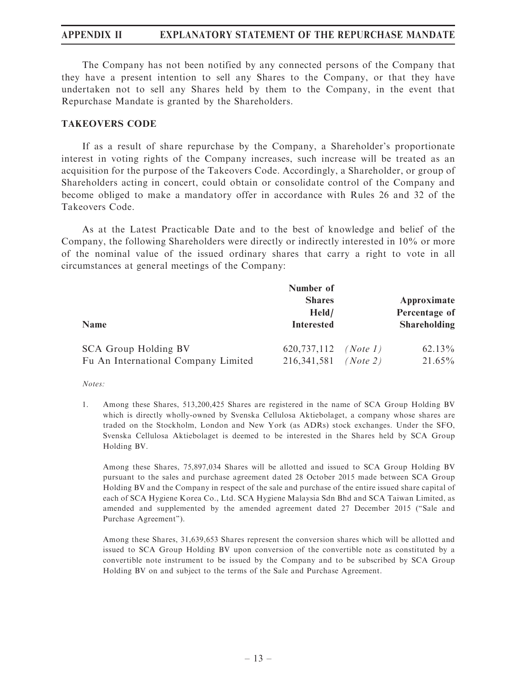## APPENDIX II EXPLANATORY STATEMENT OF THE REPURCHASE MANDATE

The Company has not been notified by any connected persons of the Company that they have a present intention to sell any Shares to the Company, or that they have undertaken not to sell any Shares held by them to the Company, in the event that Repurchase Mandate is granted by the Shareholders.

### TAKEOVERS CODE

If as a result of share repurchase by the Company, a Shareholder's proportionate interest in voting rights of the Company increases, such increase will be treated as an acquisition for the purpose of the Takeovers Code. Accordingly, a Shareholder, or group of Shareholders acting in concert, could obtain or consolidate control of the Company and become obliged to make a mandatory offer in accordance with Rules 26 and 32 of the Takeovers Code.

As at the Latest Practicable Date and to the best of knowledge and belief of the Company, the following Shareholders were directly or indirectly interested in 10% or more of the nominal value of the issued ordinary shares that carry a right to vote in all circumstances at general meetings of the Company:

| <b>Name</b>                         | Number of<br><b>Shares</b><br>Held/<br><b>Interested</b> |          | Approximate<br>Percentage of<br><b>Shareholding</b> |
|-------------------------------------|----------------------------------------------------------|----------|-----------------------------------------------------|
| SCA Group Holding BV                | 620, 737, 112                                            | (Note 1) | $62.13\%$                                           |
| Fu An International Company Limited | 216, 341, 581                                            | (Note 2) | $21.65\%$                                           |

Notes:

1. Among these Shares, 513,200,425 Shares are registered in the name of SCA Group Holding BV which is directly wholly-owned by Svenska Cellulosa Aktiebolaget, a company whose shares are traded on the Stockholm, London and New York (as ADRs) stock exchanges. Under the SFO, Svenska Cellulosa Aktiebolaget is deemed to be interested in the Shares held by SCA Group Holding BV.

Among these Shares, 75,897,034 Shares will be allotted and issued to SCA Group Holding BV pursuant to the sales and purchase agreement dated 28 October 2015 made between SCA Group Holding BV and the Company in respect of the sale and purchase of the entire issued share capital of each of SCA Hygiene Korea Co., Ltd. SCA Hygiene Malaysia Sdn Bhd and SCA Taiwan Limited, as amended and supplemented by the amended agreement dated 27 December 2015 (''Sale and Purchase Agreement'').

Among these Shares, 31,639,653 Shares represent the conversion shares which will be allotted and issued to SCA Group Holding BV upon conversion of the convertible note as constituted by a convertible note instrument to be issued by the Company and to be subscribed by SCA Group Holding BV on and subject to the terms of the Sale and Purchase Agreement.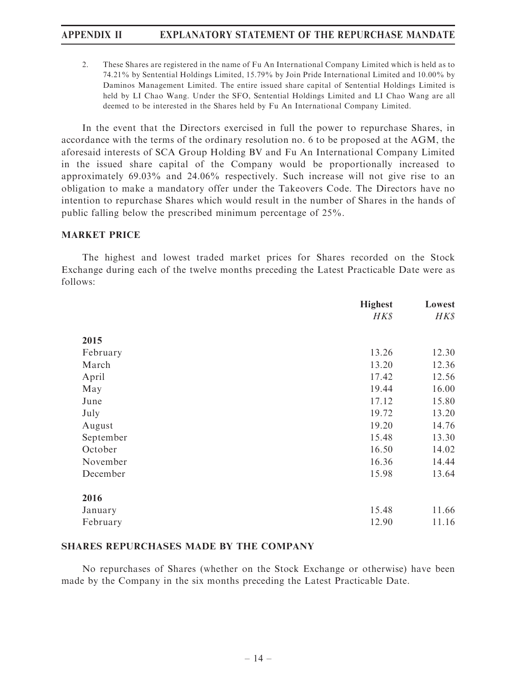# APPENDIX II EXPLANATORY STATEMENT OF THE REPURCHASE MANDATE

2. These Shares are registered in the name of Fu An International Company Limited which is held as to 74.21% by Sentential Holdings Limited, 15.79% by Join Pride International Limited and 10.00% by Daminos Management Limited. The entire issued share capital of Sentential Holdings Limited is held by LI Chao Wang. Under the SFO, Sentential Holdings Limited and LI Chao Wang are all deemed to be interested in the Shares held by Fu An International Company Limited.

In the event that the Directors exercised in full the power to repurchase Shares, in accordance with the terms of the ordinary resolution no. 6 to be proposed at the AGM, the aforesaid interests of SCA Group Holding BV and Fu An International Company Limited in the issued share capital of the Company would be proportionally increased to approximately 69.03% and 24.06% respectively. Such increase will not give rise to an obligation to make a mandatory offer under the Takeovers Code. The Directors have no intention to repurchase Shares which would result in the number of Shares in the hands of public falling below the prescribed minimum percentage of 25%.

### MARKET PRICE

The highest and lowest traded market prices for Shares recorded on the Stock Exchange during each of the twelve months preceding the Latest Practicable Date were as follows:

|           | <b>Highest</b> | Lowest |
|-----------|----------------|--------|
|           | HK\$           | H K S  |
| 2015      |                |        |
| February  | 13.26          | 12.30  |
| March     | 13.20          | 12.36  |
| April     | 17.42          | 12.56  |
| May       | 19.44          | 16.00  |
| June      | 17.12          | 15.80  |
| July      | 19.72          | 13.20  |
| August    | 19.20          | 14.76  |
| September | 15.48          | 13.30  |
| October   | 16.50          | 14.02  |
| November  | 16.36          | 14.44  |
| December  | 15.98          | 13.64  |
| 2016      |                |        |
| January   | 15.48          | 11.66  |
| February  | 12.90          | 11.16  |

## SHARES REPURCHASES MADE BY THE COMPANY

No repurchases of Shares (whether on the Stock Exchange or otherwise) have been made by the Company in the six months preceding the Latest Practicable Date.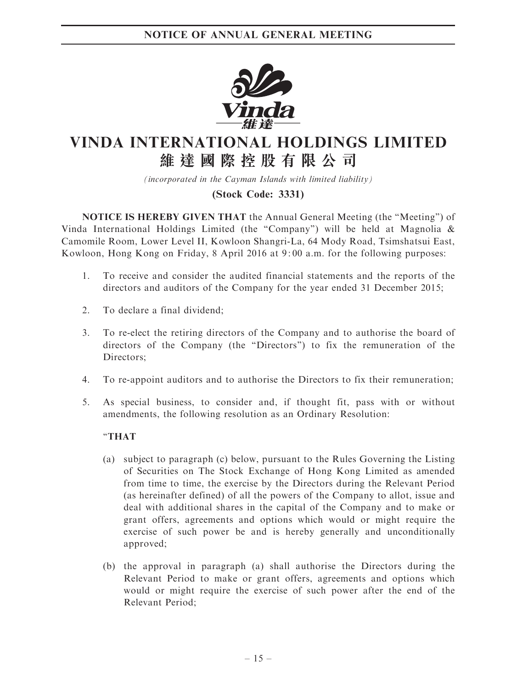

# VINDA INTERNATIONAL HOLDINGS LIMITED 維 達 國 際 控 股 有 限 公 司

(incorporated in the Cayman Islands with limited liability)

# (Stock Code: 3331)

NOTICE IS HEREBY GIVEN THAT the Annual General Meeting (the ''Meeting'') of Vinda International Holdings Limited (the "Company") will be held at Magnolia  $\&$ Camomile Room, Lower Level II, Kowloon Shangri-La, 64 Mody Road, Tsimshatsui East, Kowloon, Hong Kong on Friday, 8 April 2016 at 9: 00 a.m. for the following purposes:

- 1. To receive and consider the audited financial statements and the reports of the directors and auditors of the Company for the year ended 31 December 2015;
- 2. To declare a final dividend;
- 3. To re-elect the retiring directors of the Company and to authorise the board of directors of the Company (the ''Directors'') to fix the remuneration of the Directors;
- 4. To re-appoint auditors and to authorise the Directors to fix their remuneration;
- 5. As special business, to consider and, if thought fit, pass with or without amendments, the following resolution as an Ordinary Resolution:

### ''THAT

- (a) subject to paragraph (c) below, pursuant to the Rules Governing the Listing of Securities on The Stock Exchange of Hong Kong Limited as amended from time to time, the exercise by the Directors during the Relevant Period (as hereinafter defined) of all the powers of the Company to allot, issue and deal with additional shares in the capital of the Company and to make or grant offers, agreements and options which would or might require the exercise of such power be and is hereby generally and unconditionally approved;
- (b) the approval in paragraph (a) shall authorise the Directors during the Relevant Period to make or grant offers, agreements and options which would or might require the exercise of such power after the end of the Relevant Period;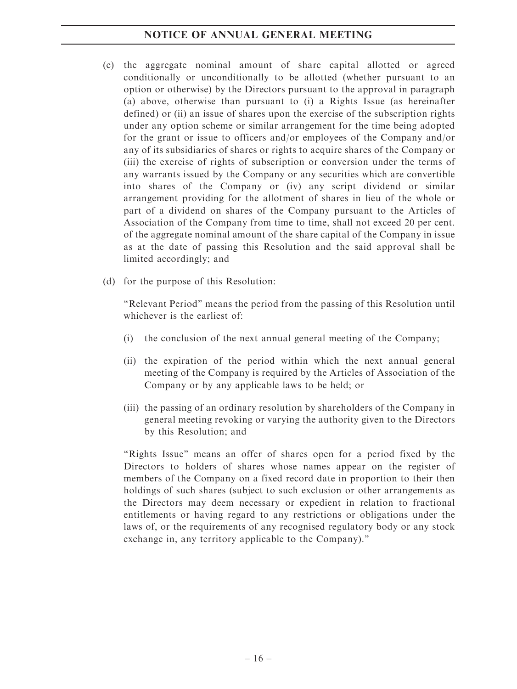# NOTICE OF ANNUAL GENERAL MEETING

- (c) the aggregate nominal amount of share capital allotted or agreed conditionally or unconditionally to be allotted (whether pursuant to an option or otherwise) by the Directors pursuant to the approval in paragraph (a) above, otherwise than pursuant to (i) a Rights Issue (as hereinafter defined) or (ii) an issue of shares upon the exercise of the subscription rights under any option scheme or similar arrangement for the time being adopted for the grant or issue to officers and/or employees of the Company and/or any of its subsidiaries of shares or rights to acquire shares of the Company or (iii) the exercise of rights of subscription or conversion under the terms of any warrants issued by the Company or any securities which are convertible into shares of the Company or (iv) any script dividend or similar arrangement providing for the allotment of shares in lieu of the whole or part of a dividend on shares of the Company pursuant to the Articles of Association of the Company from time to time, shall not exceed 20 per cent. of the aggregate nominal amount of the share capital of the Company in issue as at the date of passing this Resolution and the said approval shall be limited accordingly; and
- (d) for the purpose of this Resolution:

''Relevant Period'' means the period from the passing of this Resolution until whichever is the earliest of:

- (i) the conclusion of the next annual general meeting of the Company;
- (ii) the expiration of the period within which the next annual general meeting of the Company is required by the Articles of Association of the Company or by any applicable laws to be held; or
- (iii) the passing of an ordinary resolution by shareholders of the Company in general meeting revoking or varying the authority given to the Directors by this Resolution; and

"Rights Issue" means an offer of shares open for a period fixed by the Directors to holders of shares whose names appear on the register of members of the Company on a fixed record date in proportion to their then holdings of such shares (subject to such exclusion or other arrangements as the Directors may deem necessary or expedient in relation to fractional entitlements or having regard to any restrictions or obligations under the laws of, or the requirements of any recognised regulatory body or any stock exchange in, any territory applicable to the Company).''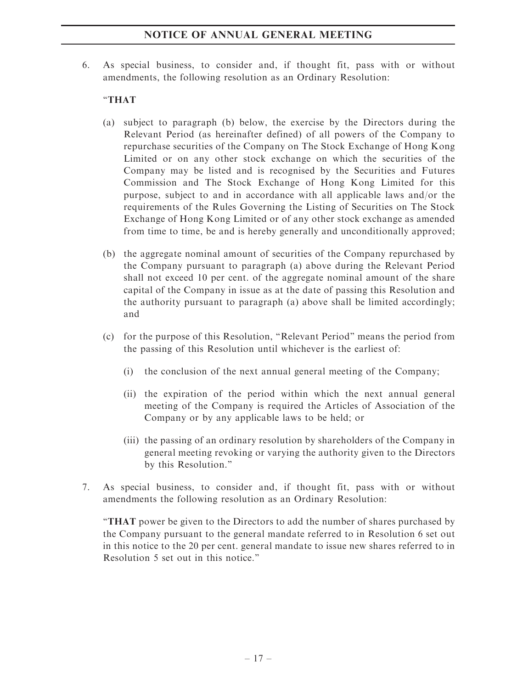# NOTICE OF ANNUAL GENERAL MEETING

6. As special business, to consider and, if thought fit, pass with or without amendments, the following resolution as an Ordinary Resolution:

## ''THAT

- (a) subject to paragraph (b) below, the exercise by the Directors during the Relevant Period (as hereinafter defined) of all powers of the Company to repurchase securities of the Company on The Stock Exchange of Hong Kong Limited or on any other stock exchange on which the securities of the Company may be listed and is recognised by the Securities and Futures Commission and The Stock Exchange of Hong Kong Limited for this purpose, subject to and in accordance with all applicable laws and/or the requirements of the Rules Governing the Listing of Securities on The Stock Exchange of Hong Kong Limited or of any other stock exchange as amended from time to time, be and is hereby generally and unconditionally approved;
- (b) the aggregate nominal amount of securities of the Company repurchased by the Company pursuant to paragraph (a) above during the Relevant Period shall not exceed 10 per cent. of the aggregate nominal amount of the share capital of the Company in issue as at the date of passing this Resolution and the authority pursuant to paragraph (a) above shall be limited accordingly; and
- (c) for the purpose of this Resolution, ''Relevant Period'' means the period from the passing of this Resolution until whichever is the earliest of:
	- (i) the conclusion of the next annual general meeting of the Company;
	- (ii) the expiration of the period within which the next annual general meeting of the Company is required the Articles of Association of the Company or by any applicable laws to be held; or
	- (iii) the passing of an ordinary resolution by shareholders of the Company in general meeting revoking or varying the authority given to the Directors by this Resolution.''
- 7. As special business, to consider and, if thought fit, pass with or without amendments the following resolution as an Ordinary Resolution:

''THAT power be given to the Directors to add the number of shares purchased by the Company pursuant to the general mandate referred to in Resolution 6 set out in this notice to the 20 per cent. general mandate to issue new shares referred to in Resolution 5 set out in this notice.''